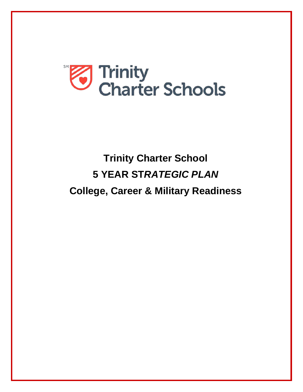

# **Trinity Charter School 5 YEAR ST***RATEGIC PLAN* **College, Career & Military Readiness**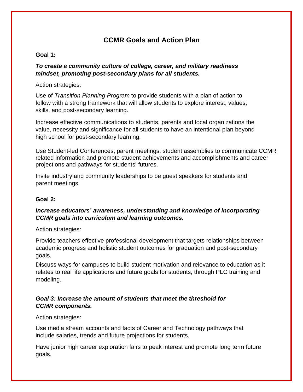### **CCMR Goals and Action Plan**

#### **Goal 1:**

#### *To create a community culture of college, career, and military readiness mindset, promoting post-secondary plans for all students.*

#### Action strategies:

Use of *Transition Planning Program* to provide students with a plan of action to follow with a strong framework that will allow students to explore interest, values, skills, and post-secondary learning.

Increase effective communications to students, parents and local organizations the value, necessity and significance for all students to have an intentional plan beyond high school for post-secondary learning.

Use Student-led Conferences, parent meetings, student assemblies to communicate CCMR related information and promote student achievements and accomplishments and career projections and pathways for students' futures.

Invite industry and community leaderships to be guest speakers for students and parent meetings.

#### **Goal 2:**

#### *Increase educators' awareness, understanding and knowledge of incorporating CCMR goals into curriculum and learning outcomes.*

Action strategies:

Provide teachers effective professional development that targets relationships between academic progress and holistic student outcomes for graduation and post-secondary goals.

Discuss ways for campuses to build student motivation and relevance to education as it relates to real life applications and future goals for students, through PLC training and modeling.

#### *Goal 3: Increase the amount of students that meet the threshold for CCMR components.*

#### Action strategies:

Use media stream accounts and facts of Career and Technology pathways that include salaries, trends and future projections for students.

Have junior high career exploration fairs to peak interest and promote long term future goals.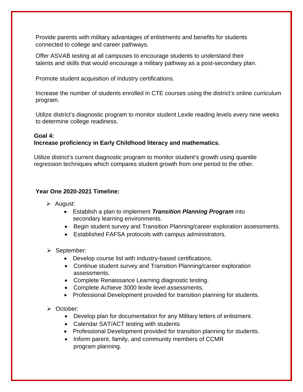Provide parents with military advantages of enlistments and benefits for students connected to college and career pathways.

Offer ASVAB testing at all campuses to encourage students to understand their talents and skills that would encourage a military pathway as a post-secondary plan.

Promote student acquisition of industry certifications.

Increase the number of students enrolled in CTE courses using the district's online curriculum program.

Utilize district's diagnostic program to monitor student Lexile reading levels every nine weeks to determine college readiness.

#### **Goal 4:**

#### **Increase proficiency in Early Childhood literacy and mathematics.**

Utilize district's current diagnostic program to monitor student's growth using quantile regression techniques which compares student growth from one period to the other.

#### **Year One 2020-2021 Timeline:**

- $\triangleright$  August:
	- Establish a plan to implement *Transition Planning Program* into secondary learning environments.
	- Begin student survey and Transition Planning/career exploration assessments.
	- Established FAFSA protocols with campus administrators.
- $\triangleright$  September:
	- Develop course list with industry-based certifications.
	- Continue student survey and Transition Planning/career exploration assessments.
	- Complete Renaissance Learning diagnostic testing.
	- Complete Achieve 3000 lexile level assessments.
	- Professional Development provided for transition planning for students.
- October:
	- Develop plan for documentation for any Military letters of enlistment.
	- Calendar SAT/ACT testing with students
	- Professional Development provided for transition planning for students.
	- Inform parent, family, and community members of CCMR program planning.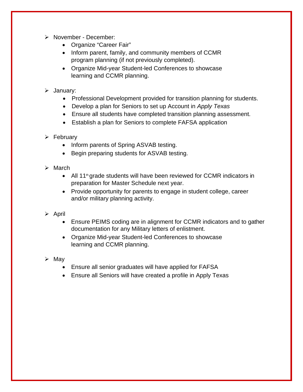- > November December:
	- Organize "Career Fair"
	- Inform parent, family, and community members of CCMR program planning (if not previously completed).
	- Organize Mid-year Student-led Conferences to showcase learning and CCMR planning.

#### > January:

- Professional Development provided for transition planning for students.
- Develop a plan for Seniors to set up Account in *Apply Texas*
- Ensure all students have completed transition planning assessment.
- Establish a plan for Seniors to complete FAFSA application

#### $\triangleright$  February

- Inform parents of Spring ASVAB testing.
- Begin preparing students for ASVAB testing.
- $\triangleright$  March
	- All 11<sup>th</sup> grade students will have been reviewed for CCMR indicators in preparation for Master Schedule next year.
	- Provide opportunity for parents to engage in student college, career and/or military planning activity.
- $\triangleright$  April
	- Ensure PEIMS coding are in alignment for CCMR indicators and to gather documentation for any Military letters of enlistment.
	- Organize Mid-year Student-led Conferences to showcase learning and CCMR planning.
- $\triangleright$  May
	- Ensure all senior graduates will have applied for FAFSA
	- Ensure all Seniors will have created a profile in Apply Texas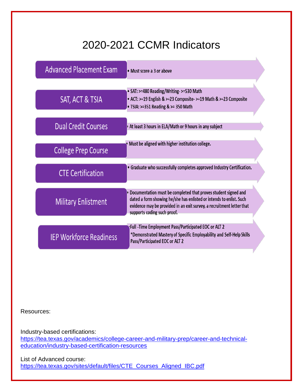## 2020-2021 CCMR Indicators

| <b>Advanced Placement Exam</b> | • Must score a 3 or above                                                                                                                                                                                                                     |
|--------------------------------|-----------------------------------------------------------------------------------------------------------------------------------------------------------------------------------------------------------------------------------------------|
| SAT, ACT & TSIA                | • SAT: >=480 Reading/Writing- >=530 Math<br>• ACT: >=19 English & >=23 Composite- >=19 Math & >=23 Composite<br>• TSIA: >=351 Reading & >= 350 Math                                                                                           |
| <b>Dual Credit Courses</b>     | At least 3 hours in ELA/Math or 9 hours in any subject                                                                                                                                                                                        |
| <b>College Prep Course</b>     | Must be aligned with higher institution college.                                                                                                                                                                                              |
| <b>CTE Certification</b>       | · Graduate who successfully completes approved Industry Certification.                                                                                                                                                                        |
| <b>Military Enlistment</b>     | Documentation must be completed that proves student signed and<br>dated a form showing he/she has enlisted or intends to enlist. Such<br>evidence may be provided in an exit survey, a recruitment letter that<br>supports coding such proof. |
| <b>IEP Workforce Readiness</b> | Full -Time Employment Pass/Participated EOC or ALT 2+<br>*Demonstrated Mastery of Specific Employability and Self-Help Skills<br>Pass/Participated EOC or ALT 2                                                                               |

Resources:

Industry-based certifications: [https://tea.texas.gov/academics/college-career-and-military-prep/career-and-technical](https://tea.texas.gov/academics/college-career-and-military-prep/career-and-technical-education/industry-based-certification-resources)[education/industry-based-certification-resources](https://tea.texas.gov/academics/college-career-and-military-prep/career-and-technical-education/industry-based-certification-resources)

List of Advanced course: [https://tea.texas.gov/sites/default/files/CTE\\_Courses\\_Aligned\\_IBC.pdf](https://tea.texas.gov/sites/default/files/CTE_Courses_Aligned_IBC.pdf)